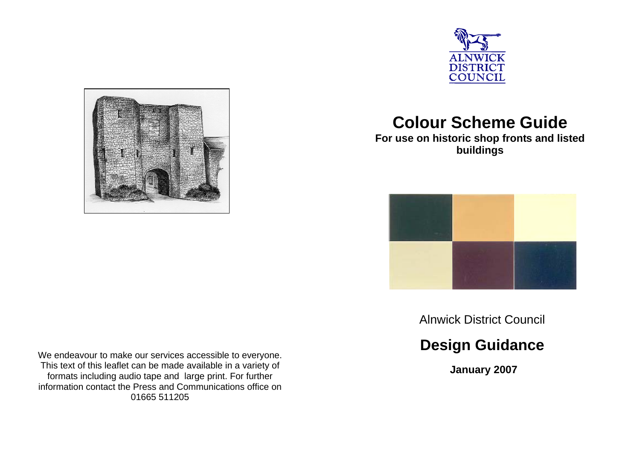



# **Colour Scheme Guide**

**For use on historic shop fronts and listed buildings** 



Alnwick District Council

# **Design Guidance**

 **January 2007** 

We endeavour to make our services accessible to everyone. This text of this leaflet can be made available in a variety of formats including audio tape and large print. For further information contact the Press and Communications office on 01665 511205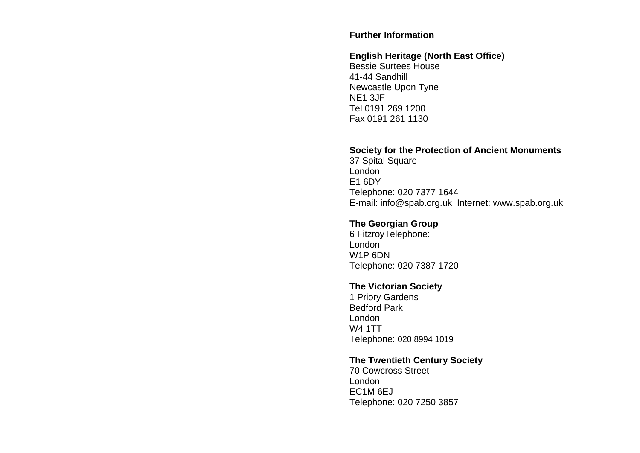#### **Further Information**

## **English Heritage (North East Office)**

Bessie Surtees House 41-44 Sandhill Newcastle Upon Tyne NE1 3JF Tel 0191 269 1200 Fax 0191 261 1130

#### **Society for the Protection of Ancient Monuments**

37 Spital Square London E1 6DY Telephone: 020 7377 1644 E-mail: info@spab.org.uk Internet: www.spab.org.uk

## **The Georgian Group**

6 FitzroyTelephone: London W1P 6DN Telephone: 020 7387 1720

### **The Victorian Society**

1 Priory Gardens Bedford Park London W4 1TT Telephone: 020 8994 1019

### **The Twentieth Century Society**

70 Cowcross Street London EC1M 6EJ Telephone: 020 7250 3857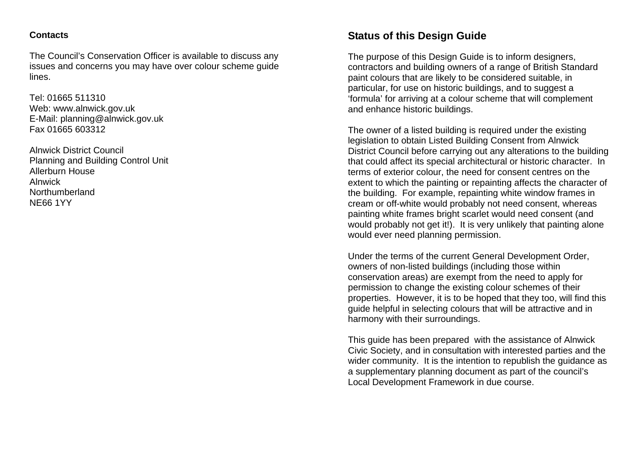### **Contacts**

The Council's Conservation Officer is available to discuss any issues and concerns you may have over colour scheme guide lines.

Tel: 01665 511310 Web: www.alnwick.gov.uk E-Mail: planning@alnwick.gov.uk Fax 01665 603312

Alnwick District Council Planning and Building Control Unit Allerburn House Alnwick Northumberland NE66 1YY

# **Status of this Design Guide**

The purpose of this Design Guide is to inform designers, contractors and building owners of a range of British Standard paint colours that are likely to be considered suitable, in particular, for use on historic buildings, and to suggest a 'formula' for arriving at a colour scheme that will complement and enhance historic buildings.

The owner of a listed building is required under the existing legislation to obtain Listed Building Consent from Alnwick District Council before carrying out any alterations to the building that could affect its special architectural or historic character. In terms of exterior colour, the need for consent centres on the extent to which the painting or repainting affects the character of the building. For example, repainting white window frames in cream or off-white would probably not need consent, whereas painting white frames bright scarlet would need consent (and would probably not get it!). It is very unlikely that painting alone would ever need planning permission.

Under the terms of the current General Development Order, owners of non-listed buildings (including those within conservation areas) are exempt from the need to apply for permission to change the existing colour schemes of their properties. However, it is to be hoped that they too, will find this guide helpful in selecting colours that will be attractive and in harmony with their surroundings.

This guide has been prepared with the assistance of Alnwick Civic Society, and in consultation with interested parties and the wider community. It is the intention to republish the guidance as a supplementary planning document as part of the council's Local Development Framework in due course.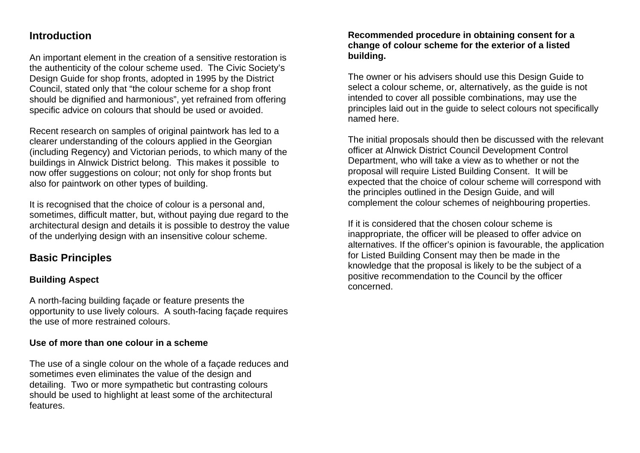## **Introduction**

An important element in the creation of a sensitive restoration is the authenticity of the colour scheme used. The Civic Society's Design Guide for shop fronts, adopted in 1995 by the District Council, stated only that "the colour scheme for a shop front should be dignified and harmonious", yet refrained from offering specific advice on colours that should be used or avoided.

Recent research on samples of original paintwork has led to a clearer understanding of the colours applied in the Georgian (including Regency) and Victorian periods, to which many of the buildings in Alnwick District belong. This makes it possible to now offer suggestions on colour; not only for shop fronts but also for paintwork on other types of building.

It is recognised that the choice of colour is a personal and, sometimes, difficult matter, but, without paying due regard to the architectural design and details it is possible to destroy the value of the underlying design with an insensitive colour scheme.

# **Basic Principles**

## **Building Aspect**

A north-facing building façade or feature presents the opportunity to use lively colours. A south-facing façade requires the use of more restrained colours.

### **Use of more than one colour in a scheme**

The use of a single colour on the whole of a façade reduces and sometimes even eliminates the value of the design and detailing. Two or more sympathetic but contrasting colours should be used to highlight at least some of the architectural features.

### **Recommended procedure in obtaining consent for a change of colour scheme for the exterior of a listed building.**

The owner or his advisers should use this Design Guide to select a colour scheme, or, alternatively, as the guide is not intended to cover all possible combinations, may use the principles laid out in the guide to select colours not specifically named here.

The initial proposals should then be discussed with the relevant officer at Alnwick District Council Development Control Department, who will take a view as to whether or not the proposal will require Listed Building Consent. It will be expected that the choice of colour scheme will correspond with the principles outlined in the Design Guide, and will complement the colour schemes of neighbouring properties.

If it is considered that the chosen colour scheme is inappropriate, the officer will be pleased to offer advice on alternatives. If the officer's opinion is favourable, the application for Listed Building Consent may then be made in the knowledge that the proposal is likely to be the subject of a positive recommendation to the Council by the officer concerned.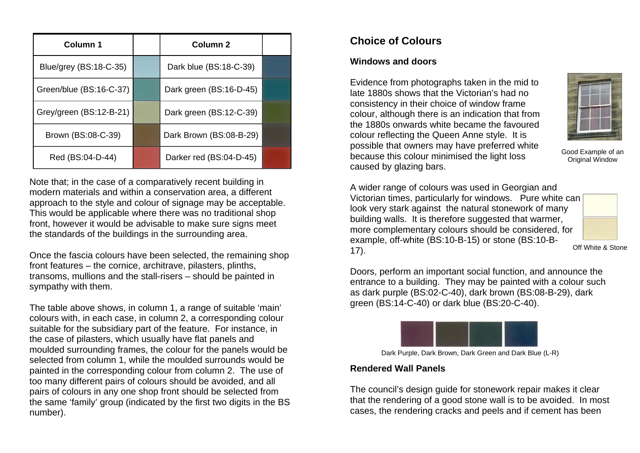| Column 1                | Column <sub>2</sub>     |  |
|-------------------------|-------------------------|--|
| Blue/grey (BS:18-C-35)  | Dark blue (BS:18-C-39)  |  |
| Green/blue (BS:16-C-37) | Dark green (BS:16-D-45) |  |
| Grey/green (BS:12-B-21) | Dark green (BS:12-C-39) |  |
| Brown (BS:08-C-39)      | Dark Brown (BS:08-B-29) |  |
| Red (BS:04-D-44)        | Darker red (BS:04-D-45) |  |

Note that; in the case of a comparatively recent building in modern materials and within a conservation area, a different approach to the style and colour of signage may be acceptable. This would be applicable where there was no traditional shop front, however it would be advisable to make sure signs meet the standards of the buildings in the surrounding area.

Once the fascia colours have been selected, the remaining shop front features – the cornice, architrave, pilasters, plinths, transoms, mullions and the stall-risers – should be painted in sympathy with them.

The table above shows, in column 1, a range of suitable 'main' colours with, in each case, in column 2, a corresponding colour suitable for the subsidiary part of the feature. For instance, in the case of pilasters, which usually have flat panels and moulded surrounding frames, the colour for the panels would be selected from column 1, while the moulded surrounds would be painted in the corresponding colour from column 2. The use of too many different pairs of colours should be avoided, and all pairs of colours in any one shop front should be selected from the same 'family' group (indicated by the first two digits in the BS number).

# **Choice of Colours**

## **Windows and doors**

Evidence from photographs taken in the mid to late 1880s shows that the Victorian's had no consistency in their choice of window frame colour, although there is an indication that from the 1880s onwards white became the favoured colour reflecting the Queen Anne style. It is possible that owners may have preferred white because this colour minimised the light loss caused by glazing bars.



Good Example of an Original Window

A wider range of colours was used in Georgian and Victorian times, particularly for windows. Pure white can look very stark against the natural stonework of many building walls. It is therefore suggested that warmer, more complementary colours should be considered, for example, off-white (BS:10-B-15) or stone (BS:10-B-17).



Off White & Stone

Doors, perform an important social function, and announce the entrance to a building. They may be painted with a colour such as dark purple (BS:02-C-40), dark brown (BS:08-B-29), dark green (BS:14-C-40) or dark blue (BS:20-C-40).



Dark Purple, Dark Brown, Dark Green and Dark Blue (L-R)

## **Rendered Wall Panels**

The council's design guide for stonework repair makes it clear that the rendering of a good stone wall is to be avoided. In most cases, the rendering cracks and peels and if cement has been